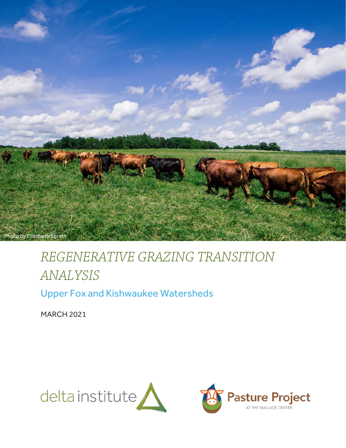

# *REGENERATIVE GRAZING TRANSITION ANALYSIS*

Upper Fox and Kishwaukee Watersheds

MARCH 2021

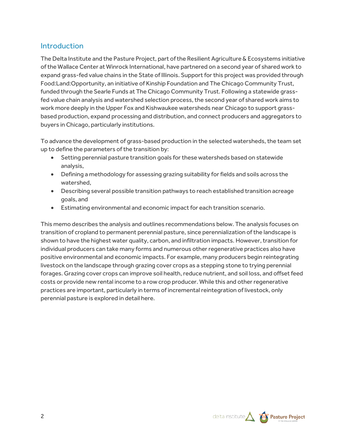# Introduction

The Delta Institute and the Pasture Project, part of the Resilient Agriculture & Ecosystems initiative of the Wallace Center at Winrock International, have partnered on a second year of shared work to expand grass-fed value chains in the State of Illinois. Support for this project was provided through Food:Land:Opportunity, an initiative of Kinship Foundation and The Chicago Community Trust, funded through the Searle Funds at The Chicago Community Trust. Following a statewide grassfed value chain analysis and watershed selection process, the second year of shared work aims to work more deeply in the Upper Fox and Kishwaukee watersheds near Chicago to support grassbased production, expand processing and distribution, and connect producers and aggregators to buyers in Chicago, particularly institutions.

To advance the development of grass-based production in the selected watersheds, the team set up to define the parameters of the transition by:

- Setting perennial pasture transition goals for these watersheds based on statewide analysis,
- Defining a methodology for assessing grazing suitability for fields and soils across the watershed,
- Describing several possible transition pathways to reach established transition acreage goals, and
- Estimating environmental and economic impact for each transition scenario.

This memo describes the analysis and outlines recommendations below. The analysis focuses on transition of cropland to permanent perennial pasture, since perennialization of the landscape is shown to have the highest water quality, carbon, and infiltration impacts. However, transition for individual producers can take many forms and numerous other regenerative practices also have positive environmental and economic impacts. For example, many producers begin reintegrating livestock on the landscape through grazing cover crops as a stepping stone to trying perennial forages. Grazing cover crops can improve soil health, reduce nutrient, and soil loss, and offset feed costs or provide new rental income to a row crop producer. While this and other regenerative practices are important, particularly in terms of incremental reintegration of livestock, only perennial pasture is explored in detail here.

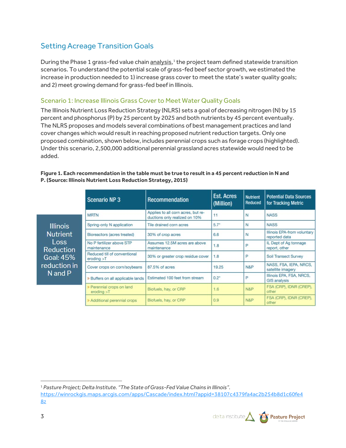# Setting Acreage Transition Goals

During the Phase [1](#page-2-0) grass-fed value chain analysis,<sup>1</sup> the project team defined statewide transition scenarios. To understand the potential scale of grass-fed beef sector growth, we estimated the increase in production needed to 1) increase grass cover to meet the state's water quality goals; and 2) meet growing demand for grass-fed beef in Illinois.

#### Scenario 1: Increase Illinois Grass Cover to Meet Water Quality Goals

The Illinois Nutrient Loss Reduction Strategy (NLRS) sets a goal of decreasing nitrogen (N) by 15 percent and phosphorus (P) by 25 percent by 2025 and both nutrients by 45 percent eventually. The NLRS proposes and models several combinations of best management practices and land cover changes which would result in reaching proposed nutrient reduction targets. Only one proposed combination, shown below, includes perennial crops such as forage crops (highlighted). Under this scenario, 2,500,000 additional perennial grassland acres statewide would need to be added.

#### **Figure 1. Each recommendation in the table must be true to result in a 45 percent reduction in N and P. (Source: Illinois Nutrient Loss Reduction Strategy, 2015)**

|                                                                                         | <b>Scenario NP3</b>                         | Recommendation                                                      | <b>Est. Acres</b><br>(Million) | <b>Nutrient</b><br>Reduced | <b>Potential Data Sources</b><br>for Tracking Metric |
|-----------------------------------------------------------------------------------------|---------------------------------------------|---------------------------------------------------------------------|--------------------------------|----------------------------|------------------------------------------------------|
|                                                                                         | <b>MRTN</b>                                 | Applies to all corn acres, but re-<br>ductions only realized on 10% | 11                             | N                          | <b>NASS</b>                                          |
| <b>Illinois</b>                                                                         | Spring-only N application                   | Tile drained corn acres                                             | $5.7^*$                        | N                          | <b>NASS</b>                                          |
| <b>Nutrient</b><br>Loss<br><b>Reduction</b><br>Goal: 45%<br>reduction in<br>$N$ and $P$ | Bioreactors (acres treated)                 | 30% of crop acres                                                   | 6.6                            | N                          | Illinois EPA-from voluntary<br>reported data         |
|                                                                                         | No P fertilizer above STP<br>maintenance    | Assumes 12.5M acres are above<br>maintenance                        | 1.8                            | P                          | IL Dept of Ag tonnage<br>report, other               |
|                                                                                         | Reduced till of conventional<br>eroding > T | 30% or greater crop residue cover.                                  | 1.8                            | P                          | <b>Soil Transect Survey</b>                          |
|                                                                                         | Cover crops on corn/soybeans                | 87,5% of acres                                                      | 19.25                          | N&P                        | NASS, FSA, IEPA, NRCS,<br>satellite imagery          |
|                                                                                         | » Buffers on all applicable lands           | Estimated 100 feet from stream                                      | 0.2"                           | P                          | Illinois EPA, FSA, NRCS,<br><b>GIS analysis</b>      |
|                                                                                         | » Perennial crops on land<br>eroding > T    | Biofuels, hay, or CRP                                               | 1.6                            | N&P                        | FSA (CRP), IDNR (CREP).<br>other                     |
|                                                                                         | » Additional perennial crops                | Biofuels, hay, or CRP                                               | 0.9                            | <b>N&amp;P</b>             | FSA (CRP), IDNR (CREP).<br>other                     |

<span id="page-2-0"></span><sup>1</sup> *Pasture Project; Delta Institute. "The State of Grass-Fed Value Chains in Illinois".* 

[https://winrockgis.maps.arcgis.com/apps/Cascade/index.html?appid=38107c4379fa4ac2b254b8d1c60fe4](https://winrockgis.maps.arcgis.com/apps/Cascade/index.html?appid=38107c4379fa4ac2b254b8d1c60fe482) [82](https://winrockgis.maps.arcgis.com/apps/Cascade/index.html?appid=38107c4379fa4ac2b254b8d1c60fe482)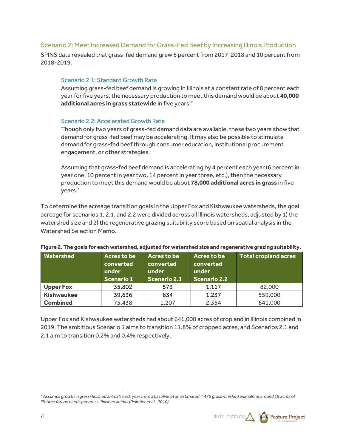#### Scenario 2: Meet Increased Demand for Grass-Fed Beef by Increasing Illinois Production

SPINS data revealed that grass-fed demand grew 6 percent from 2017-2018 and 10 percent from 2018-2019.

#### Scenario 2.1: Standard Growth Rate

Assuming grass-fed beef demand is growing in Illinois at a constant rate of 8 percent each year for five years, the necessary production to meet this demand would be about **40,000**  additional acres in grass statewide in five years.<sup>[2](#page-3-0)</sup>

#### Scenario 2.2: Accelerated Growth Rate

Though only two years of grass-fed demand data are available, these two years show that demand for grass-fed beef may be accelerating. It may also be possible to stimulate demand for grass-fed beef through consumer education, institutional procurement engagement, or other strategies.

Assuming that grass-fed beef demand is accelerating by 4 percent each year (6 percent in year one, 10 percent in year two, 14 percent in year three, etc.), then the necessary production to meet this demand would be about **78,000 additional acres in grass** in five years.1

To determine the acreage transition goals in the Upper Fox and Kishwaukee watersheds, the goal acreage for scenarios 1, 2.1, and 2.2 were divided across all Illinois watersheds, adjusted by 1) the watershed size and 2) the regenerative grazing suitability score based on spatial analysis in the Watershed Selection Memo.

| <b>Watershed</b>  | Acres to be<br>converted<br>under<br><b>Scenario 1</b> | Acres to be<br>converted<br>under<br><b>Scenario 2.1</b> | Acres to be<br>converted<br>under<br><b>Scenario 2.2</b> | <b>Total cropland acres</b> |
|-------------------|--------------------------------------------------------|----------------------------------------------------------|----------------------------------------------------------|-----------------------------|
| <b>Upper Fox</b>  | 35,802                                                 | 573                                                      | 1,117                                                    | 82,000                      |
| <b>Kishwaukee</b> | 39,636                                                 | 634                                                      | 1,237                                                    | 559,000                     |
| <b>Combined</b>   | 75,438                                                 | 1,207                                                    | 2,354                                                    | 641,000                     |

|  |  |  |  | Figure 2. The goals for each watershed, adjusted for watershed size and regenerative grazing suitability. |  |  |
|--|--|--|--|-----------------------------------------------------------------------------------------------------------|--|--|
|--|--|--|--|-----------------------------------------------------------------------------------------------------------|--|--|

Upper Fox and Kishwaukee watersheds had about 641,000 acres of cropland in Illinois combined in 2019. The ambitious Scenario 1 aims to transition 11.8% of cropped acres, and Scenarios 2.1 and 2.1 aim to transition 0.2% and 0.4% respectively.



<span id="page-3-0"></span><sup>2</sup> *Assumes growth in grass-finished animals each year from a baseline of an estimated 4,475 grass-finished animals, at around 19 acres of lifetime forage needs per grass-finished animal (Pelletier et al., 2010).*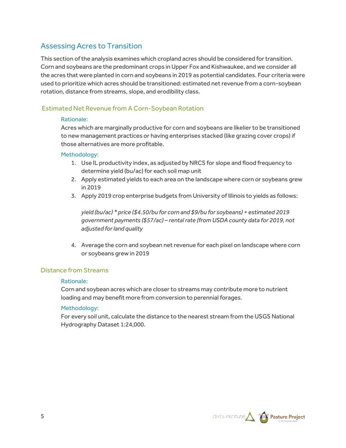# Assessing Acres to Transition

This section of the analysis examines which cropland acres should be considered for transition. Corn and soybeans are the predominant crops in Upper Fox and Kishwaukee, and we consider all the acres that were planted in corn and soybeans in 2019 as potential candidates. Four criteria were used to prioritize which acres should be transitioned: estimated net revenue from a corn-soybean rotation, distance from streams, slope, and erodibility class.

### Estimated Net Revenue from A Corn-Soybean Rotation

#### Rationale:

Acres which are marginally productive for corn and soybeans are likelier to be transitioned to new management practices or having enterprises stacked (like grazing cover crops) if those alternatives are more profitable.

#### Methodology:

- 1. Use IL productivity index, as adjusted by NRCS for slope and flood frequency to determine yield (bu/ac) for each soil map unit
- 2. Apply estimated yields to each area on the landscape where corn or soybeans grew in 2019
- 3. Apply 2019 crop enterprise budgets from University of Illinois to yields as follows:

*yield (bu/ac) \* price (\$4.50/bu for corn and \$9/bu for soybeans) + estimated 2019 government payments (\$57/ac) – rental rate (from USDA county data for 2019, not adjusted for land quality*

4. Average the corn and soybean net revenue for each pixel on landscape where corn or soybeans grew in 2019

#### Distance from Streams

#### Rationale:

Corn and soybean acres which are closer to streams may contribute more to nutrient loading and may benefit more from conversion to perennial forages.

#### Methodology:

For every soil unit, calculate the distance to the nearest stream from the USGS National Hydrography Dataset 1:24,000.

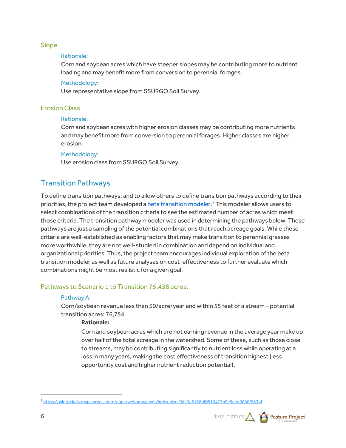#### Slope

#### Rationale:

Corn and soybean acres which have steeper slopes may be contributing more to nutrient loading and may benefit more from conversion to perennial forages.

#### Methodology:

Use representative slope from SSURGO Soil Survey.

#### Erosion Class

#### Rationale:

Corn and soybean acres with higher erosion classes may be contributing more nutrients and may benefit more from conversion to perennial forages. Higher classes are higher erosion.

#### Methodology:

Use erosion class from SSURGO Soil Survey.

## Transition Pathways

To define transition pathways, and to allow others to define transition pathways according to their priorities, the project team developed a **beta transition modeler**.<sup>[3](#page-5-0)</sup> This modeler allows users to select combinations of the transition criteria to see the estimated number of acres which meet those criteria. The transition pathway modeler was used in determining the pathways below. These pathways are just a sampling of the potential combinations that reach acreage goals. While these criteria are well-established as enabling factors that may make transition to perennial grasses more worthwhile, they are not well-studied in combination and depend on individual and organizational priorities. Thus, the project team encourages individual exploration of the beta transition modeler as well as future analyses on cost-effectiveness to further evaluate which combinations might be most realistic for a given goal.

#### Pathways to Scenario 1 to Transition 75,438 acres:

#### Pathway A:

Corn/soybean revenue less than \$0/acre/year and within 55 feet of a stream – potential transition acres: 76,754

#### **Rationale:**

Corn and soybean acres which are not earning revenue in the average year make up over half of the total acreage in the watershed. Some of these, such as those close to streams, may be contributing significantly to nutrient loss while operating at a loss in many years, making the cost effectiveness of transition highest (less opportunity cost and higher nutrient reduction potential).

<span id="page-5-0"></span><sup>3</sup> <https://winrockgis.maps.arcgis.com/apps/webappviewer/index.html?id=3a6138df0512477b9c8eed9080f583bf>

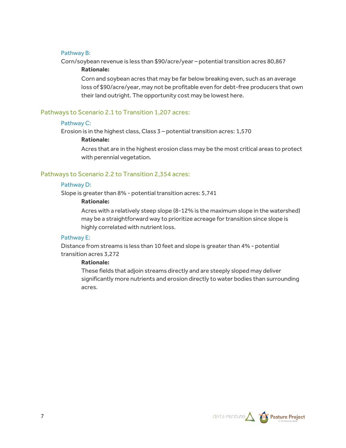#### Pathway B:

Corn/soybean revenue is less than \$90/acre/year – potential transition acres 80,867

#### **Rationale:**

Corn and soybean acres that may be far below breaking even, such as an average loss of \$90/acre/year, may not be profitable even for debt-free producers that own their land outright. The opportunity cost may be lowest here.

#### Pathways to Scenario 2.1 to Transition 1,207 acres:

#### Pathway C:

Erosion is in the highest class, Class 3 – potential transition acres: 1,570

#### **Rationale:**

Acres that are in the highest erosion class may be the most critical areas to protect with perennial vegetation.

#### Pathways to Scenario 2.2 to Transition 2,354 acres:

#### Pathway D:

Slope is greater than 8% - potential transition acres: 5,741

#### **Rationale:**

Acres with a relatively steep slope (8-12% is the maximum slope in the watershed) may be a straightforward way to prioritize acreage for transition since slope is highly correlated with nutrient loss.

#### Pathway E:

Distance from streams is less than 10 feet and slope is greater than 4% - potential transition acres 3,272

#### **Rationale:**

These fields that adjoin streams directly and are steeply sloped may deliver significantly more nutrients and erosion directly to water bodies than surrounding acres.

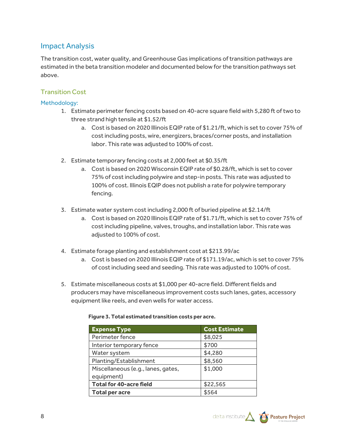# Impact Analysis

The transition cost, water quality, and Greenhouse Gas implications of transition pathways are estimated in the beta transition modeler and documented below for the transition pathways set above.

## Transition Cost

#### Methodology:

- 1. Estimate perimeter fencing costs based on 40-acre square field with 5,280 ft of two to three strand high tensile at \$1.52/ft
	- a. Cost is based on 2020 Illinois EQIP rate of \$1.21/ft, which is set to cover 75% of cost including posts, wire, energizers, braces/corner posts, and installation labor. This rate was adjusted to 100% of cost.
- 2. Estimate temporary fencing costs at 2,000 feet at \$0.35/ft
	- a. Cost is based on 2020 Wisconsin EQIP rate of \$0.28/ft, which is set to cover 75% of cost including polywire and step-in posts. This rate was adjusted to 100% of cost. Illinois EQIP does not publish a rate for polywire temporary fencing.
- 3. Estimate water system cost including 2,000 ft of buried pipeline at \$2.14/ft
	- a. Cost is based on 2020 Illinois EQIP rate of \$1.71/ft, which is set to cover 75% of cost including pipeline, valves, troughs, and installation labor. This rate was adjusted to 100% of cost.
- 4. Estimate forage planting and establishment cost at \$213.99/ac
	- a. Cost is based on 2020 Illinois EQIP rate of \$171.19/ac, which is set to cover 75% of cost including seed and seeding. This rate was adjusted to 100% of cost.
- 5. Estimate miscellaneous costs at \$1,000 per 40-acre field. Different fields and producers may have miscellaneous improvement costs such lanes, gates, accessory equipment like reels, and even wells for water access.

| <b>Expense Type</b>                | <b>Cost Estimate</b> |  |
|------------------------------------|----------------------|--|
| Perimeter fence                    | \$8,025              |  |
| Interior temporary fence           | \$700                |  |
| Water system                       | \$4,280              |  |
| Planting/Establishment             | \$8,560              |  |
| Miscellaneous (e.g., lanes, gates, | \$1,000              |  |
| equipment)                         |                      |  |
| <b>Total for 40-acre field</b>     | \$22,565             |  |
| <b>Total per acre</b>              | \$564                |  |

#### **Figure 3. Total estimated transition costs per acre.**

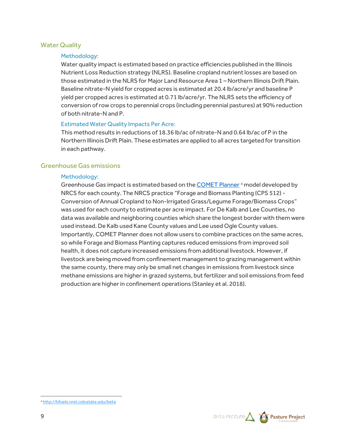#### Water Quality

#### Methodology:

Water quality impact is estimated based on practice efficiencies published in the Illinois Nutrient Loss Reduction strategy (NLRS). Baseline cropland nutrient losses are based on those estimated in the NLRS for Major Land Resource Area 1 – Northern Illinois Drift Plain. Baseline nitrate-N yield for cropped acres is estimated at 20.4 lb/acre/yr and baseline P yield per cropped acres is estimated at 0.71 lb/acre/yr. The NLRS sets the efficiency of conversion of row crops to perennial crops (including perennial pastures) at 90% reduction of both nitrate-N and P.

#### Estimated Water Quality Impacts Per Acre:

This method results in reductions of 18.36 lb/ac of nitrate-N and 0.64 lb/ac of P in the Northern Illinois Drift Plain. These estimates are applied to all acres targeted for transition in each pathway.

#### Greenhouse Gas emissions

#### Methodology:

Greenhouse Gas impact is estimated based on th[e COMET Planner](http://bfuels.nrel.colostate.edu/beta)<sup>[4](#page-8-0)</sup> model developed by NRCS for each county. The NRCS practice "Forage and Biomass Planting (CPS 512) - Conversion of Annual Cropland to Non-Irrigated Grass/Legume Forage/Biomass Crops" was used for each county to estimate per acre impact. For De Kalb and Lee Counties, no data was available and neighboring counties which share the longest border with them were used instead. De Kalb used Kane County values and Lee used Ogle County values. Importantly, COMET Planner does not allow users to combine practices on the same acres, so while Forage and Biomass Planting captures reduced emissions from improved soil health, it does not capture increased emissions from additional livestock. However, if livestock are being moved from confinement management to grazing management within the same county, there may only be small net changes in emissions from livestock since methane emissions are higher in grazed systems, but fertilizer and soil emissions from feed production are higher in confinement operations (Stanley et al. 2018).

<span id="page-8-0"></span><sup>4</sup> <http://bfuels.nrel.colostate.edu/beta>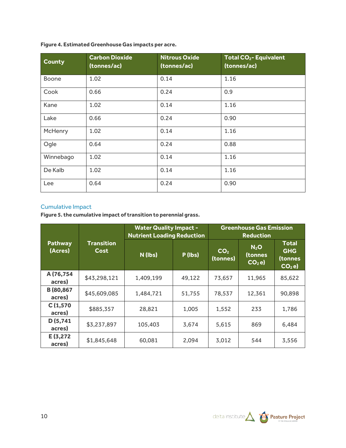#### **Figure 4. Estimated Greenhouse Gas impacts per acre.**

| <b>County</b> | <b>Carbon Dioxide</b><br>(tonnes/ac) | <b>Nitrous Oxide</b><br>(tonnes/ac) | <b>Total CO<sub>2</sub>- Equivalent</b><br>(tonnes/ac) |
|---------------|--------------------------------------|-------------------------------------|--------------------------------------------------------|
| <b>Boone</b>  | 1.02                                 | 0.14                                | 1.16                                                   |
| Cook          | 0.66                                 | 0.24                                | 0.9                                                    |
| Kane          | 1.02                                 | 0.14                                | 1.16                                                   |
| Lake          | 0.66                                 | 0.24                                | 0.90                                                   |
| McHenry       | 1.02                                 | 0.14                                | 1.16                                                   |
| Ogle          | 0.64                                 | 0.24                                | 0.88                                                   |
| Winnebago     | 1.02                                 | 0.14                                | 1.16                                                   |
| De Kalb       | 1.02                                 | 0.14                                | 1.16                                                   |
| Lee           | 0.64                                 | 0.24                                | 0.90                                                   |

#### Cumulative Impact

**Figure 5. the cumulative impact of transition to perennial grass.**

|                           | <b>Transition</b><br>Cost | <b>Water Quality Impact -</b><br><b>Nutrient Loading Reduction</b> |         | <b>Greenhouse Gas Emission</b><br><b>Reduction</b> |                                |                                                   |
|---------------------------|---------------------------|--------------------------------------------------------------------|---------|----------------------------------------------------|--------------------------------|---------------------------------------------------|
| <b>Pathway</b><br>(Acres) |                           | N (lbs)                                                            | P (lbs) | CO <sub>2</sub><br>(tonnes)                        | $N_2$ O<br>(tonnes<br>$CO2$ e) | <b>Total</b><br><b>GHG</b><br>(tonnes<br>$CO2$ e) |
| A (76,754<br>acres)       | \$43,298,121              | 1,409,199                                                          | 49,122  | 73,657                                             | 11,965                         | 85,622                                            |
| B (80,867<br>acres)       | \$45,609,085              | 1,484,721                                                          | 51,755  | 78,537                                             | 12,361                         | 90,898                                            |
| C(1,570)<br>acres)        | \$885,357                 | 28,821                                                             | 1,005   | 1,552                                              | 233                            | 1,786                                             |
| D(5,741)<br>acres)        | \$3,237,897               | 105,403                                                            | 3,674   | 5,615                                              | 869                            | 6,484                                             |
| E(3,272)<br>acres)        | \$1,845,648               | 60,081                                                             | 2,094   | 3,012                                              | 544                            | 3,556                                             |

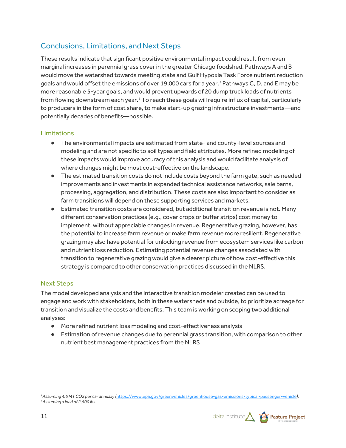# Conclusions, Limitations, and Next Steps

These results indicate that significant positive environmental impact could result from even marginal increases in perennial grass cover in the greater Chicago foodshed. Pathways A and B would move the watershed towards meeting state and Gulf Hypoxia Task Force nutrient reduction goals and would offset the emissions of over 19,000 cars for a year.<sup>[5](#page-10-0)</sup> Pathways C, D, and E may be more reasonable 5-year goals, and would prevent upwards of 20 dump truck loads of nutrients from flowing downstream each year.<sup>[6](#page-10-1)</sup> To reach these goals will require influx of capital, particularly to producers in the form of cost share, to make start-up grazing infrastructure investments—and potentially decades of benefits—possible.

## Limitations

- The environmental impacts are estimated from state- and county-level sources and modeling and are not specific to soil types and field attributes. More refined modeling of these impacts would improve accuracy of this analysis and would facilitate analysis of where changes might be most cost-effective on the landscape.
- The estimated transition costs do not include costs beyond the farm gate, such as needed improvements and investments in expanded technical assistance networks, sale barns, processing, aggregation, and distribution. These costs are also important to consider as farm transitions will depend on these supporting services and markets.
- Estimated transition costs are considered, but additional transition revenue is not. Many different conservation practices (e.g., cover crops or buffer strips) cost money to implement, without appreciable changes in revenue. Regenerative grazing, however, has the potential to increase farm revenue or make farm revenue more resilient. Regenerative grazing may also have potential for unlocking revenue from ecosystem services like carbon and nutrient loss reduction. Estimating potential revenue changes associated with transition to regenerative grazing would give a clearer picture of how cost-effective this strategy is compared to other conservation practices discussed in the NLRS.

## Next Steps

The model developed analysis and the interactive transition modeler created can be used to engage and work with stakeholders, both in these watersheds and outside, to prioritize acreage for transition and visualize the costs and benefits. This team is working on scoping two additional analyses:

- More refined nutrient loss modeling and cost-effectiveness analysis
- Estimation of revenue changes due to perennial grass transition, with comparison to other nutrient best management practices from the NLRS

<span id="page-10-1"></span><span id="page-10-0"></span><sup>5</sup>*Assuming 4.6 MT CO2 per car annually (*<https://www.epa.gov/greenvehicles/greenhouse-gas-emissions-typical-passenger-vehicle>*). 6Assuming a load of 2,500 lbs.*